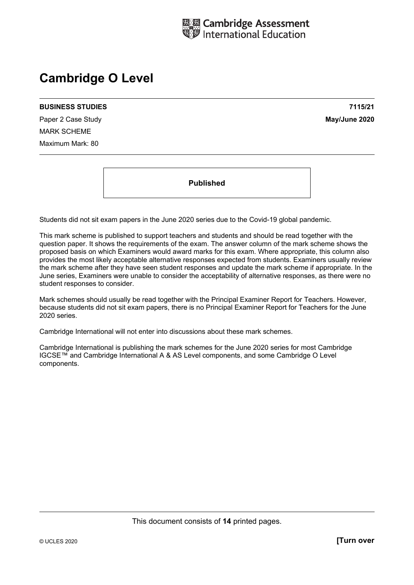

# **Cambridge O Level**

#### **BUSINESS STUDIES 7115/21**

Paper 2 Case Study **May/June 2020** MARK SCHEME Maximum Mark: 80

**Published** 

Students did not sit exam papers in the June 2020 series due to the Covid-19 global pandemic.

This mark scheme is published to support teachers and students and should be read together with the question paper. It shows the requirements of the exam. The answer column of the mark scheme shows the proposed basis on which Examiners would award marks for this exam. Where appropriate, this column also provides the most likely acceptable alternative responses expected from students. Examiners usually review the mark scheme after they have seen student responses and update the mark scheme if appropriate. In the June series, Examiners were unable to consider the acceptability of alternative responses, as there were no student responses to consider.

Mark schemes should usually be read together with the Principal Examiner Report for Teachers. However, because students did not sit exam papers, there is no Principal Examiner Report for Teachers for the June 2020 series.

Cambridge International will not enter into discussions about these mark schemes.

Cambridge International is publishing the mark schemes for the June 2020 series for most Cambridge IGCSE™ and Cambridge International A & AS Level components, and some Cambridge O Level components.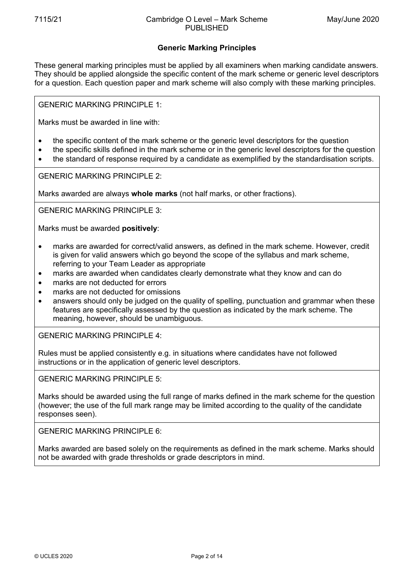# **Generic Marking Principles**

These general marking principles must be applied by all examiners when marking candidate answers. They should be applied alongside the specific content of the mark scheme or generic level descriptors for a question. Each question paper and mark scheme will also comply with these marking principles.

GENERIC MARKING PRINCIPLE 1:

Marks must be awarded in line with:

- the specific content of the mark scheme or the generic level descriptors for the question
- the specific skills defined in the mark scheme or in the generic level descriptors for the question
- the standard of response required by a candidate as exemplified by the standardisation scripts.

GENERIC MARKING PRINCIPLE 2:

Marks awarded are always **whole marks** (not half marks, or other fractions).

GENERIC MARKING PRINCIPLE 3:

Marks must be awarded **positively**:

- marks are awarded for correct/valid answers, as defined in the mark scheme. However, credit is given for valid answers which go beyond the scope of the syllabus and mark scheme, referring to your Team Leader as appropriate
- marks are awarded when candidates clearly demonstrate what they know and can do
- marks are not deducted for errors
- marks are not deducted for omissions
- answers should only be judged on the quality of spelling, punctuation and grammar when these features are specifically assessed by the question as indicated by the mark scheme. The meaning, however, should be unambiguous.

GENERIC MARKING PRINCIPLE 4:

Rules must be applied consistently e.g. in situations where candidates have not followed instructions or in the application of generic level descriptors.

GENERIC MARKING PRINCIPLE 5:

Marks should be awarded using the full range of marks defined in the mark scheme for the question (however; the use of the full mark range may be limited according to the quality of the candidate responses seen).

GENERIC MARKING PRINCIPLE 6:

Marks awarded are based solely on the requirements as defined in the mark scheme. Marks should not be awarded with grade thresholds or grade descriptors in mind.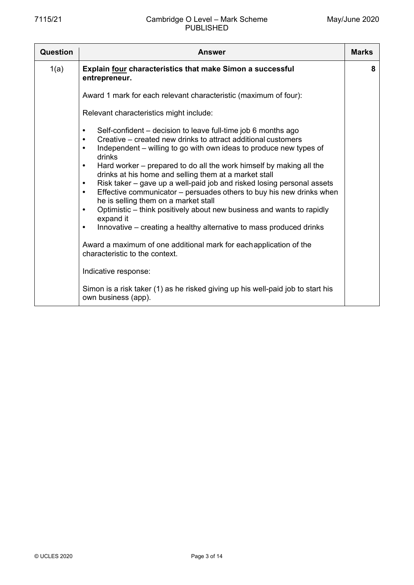| Question | <b>Answer</b>                                                                                                                                                                                                                                                                                                                                                                                                                                                                                                                                                                                                                                                                                                                                                                                                                                                                                                                                                                                                                                           | <b>Marks</b> |  |  |  |
|----------|---------------------------------------------------------------------------------------------------------------------------------------------------------------------------------------------------------------------------------------------------------------------------------------------------------------------------------------------------------------------------------------------------------------------------------------------------------------------------------------------------------------------------------------------------------------------------------------------------------------------------------------------------------------------------------------------------------------------------------------------------------------------------------------------------------------------------------------------------------------------------------------------------------------------------------------------------------------------------------------------------------------------------------------------------------|--------------|--|--|--|
| 1(a)     | Explain four characteristics that make Simon a successful<br>entrepreneur.                                                                                                                                                                                                                                                                                                                                                                                                                                                                                                                                                                                                                                                                                                                                                                                                                                                                                                                                                                              | 8            |  |  |  |
|          | Award 1 mark for each relevant characteristic (maximum of four):                                                                                                                                                                                                                                                                                                                                                                                                                                                                                                                                                                                                                                                                                                                                                                                                                                                                                                                                                                                        |              |  |  |  |
|          | Relevant characteristics might include:                                                                                                                                                                                                                                                                                                                                                                                                                                                                                                                                                                                                                                                                                                                                                                                                                                                                                                                                                                                                                 |              |  |  |  |
|          | Self-confident – decision to leave full-time job 6 months ago<br>$\bullet$<br>Creative – created new drinks to attract additional customers<br>$\bullet$<br>Independent – willing to go with own ideas to produce new types of<br>$\bullet$<br>drinks<br>Hard worker – prepared to do all the work himself by making all the<br>$\bullet$<br>drinks at his home and selling them at a market stall<br>Risk taker – gave up a well-paid job and risked losing personal assets<br>$\bullet$<br>Effective communicator – persuades others to buy his new drinks when<br>$\bullet$<br>he is selling them on a market stall<br>Optimistic – think positively about new business and wants to rapidly<br>$\bullet$<br>expand it<br>Innovative – creating a healthy alternative to mass produced drinks<br>$\bullet$<br>Award a maximum of one additional mark for each application of the<br>characteristic to the context.<br>Indicative response:<br>Simon is a risk taker (1) as he risked giving up his well-paid job to start his<br>own business (app). |              |  |  |  |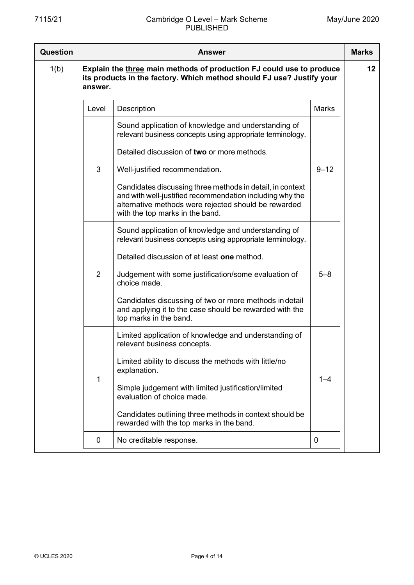| Question | <b>Answer</b>  |                                                                                                                                                                                                                  |              |    |  |
|----------|----------------|------------------------------------------------------------------------------------------------------------------------------------------------------------------------------------------------------------------|--------------|----|--|
| 1(b)     | answer.        | Explain the three main methods of production FJ could use to produce<br>its products in the factory. Which method should FJ use? Justify your                                                                    |              | 12 |  |
|          | Level          | Description                                                                                                                                                                                                      | <b>Marks</b> |    |  |
|          |                | Sound application of knowledge and understanding of<br>relevant business concepts using appropriate terminology.<br>Detailed discussion of two or more methods.                                                  |              |    |  |
|          | 3              | Well-justified recommendation.                                                                                                                                                                                   | $9 - 12$     |    |  |
|          |                | Candidates discussing three methods in detail, in context<br>and with well-justified recommendation including why the<br>alternative methods were rejected should be rewarded<br>with the top marks in the band. |              |    |  |
|          |                | Sound application of knowledge and understanding of<br>relevant business concepts using appropriate terminology.                                                                                                 |              |    |  |
|          |                | Detailed discussion of at least one method.                                                                                                                                                                      |              |    |  |
|          | $\overline{2}$ | Judgement with some justification/some evaluation of<br>choice made.                                                                                                                                             | $5 - 8$      |    |  |
|          |                | Candidates discussing of two or more methods in detail<br>and applying it to the case should be rewarded with the<br>top marks in the band.                                                                      |              |    |  |
|          |                | Limited application of knowledge and understanding of<br>relevant business concepts.                                                                                                                             |              |    |  |
|          | 1              | Limited ability to discuss the methods with little/no<br>explanation.                                                                                                                                            | $1 - 4$      |    |  |
|          |                | Simple judgement with limited justification/limited<br>evaluation of choice made.                                                                                                                                |              |    |  |
|          |                | Candidates outlining three methods in context should be<br>rewarded with the top marks in the band.                                                                                                              |              |    |  |
|          | 0              | No creditable response.                                                                                                                                                                                          | 0            |    |  |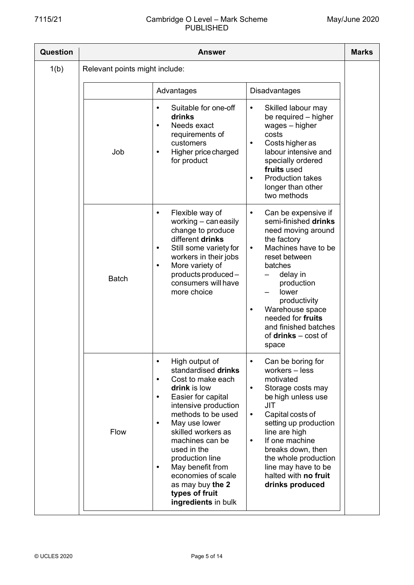# 7115/21 Cambridge O Level – Mark Scheme PUBLISHED

| Question | Answer                         |                                                                                                                                                                                                                                                                                                                                                                                                                    |                                                                                                                                                                                                                                                                                                                                                 |  |  |  |
|----------|--------------------------------|--------------------------------------------------------------------------------------------------------------------------------------------------------------------------------------------------------------------------------------------------------------------------------------------------------------------------------------------------------------------------------------------------------------------|-------------------------------------------------------------------------------------------------------------------------------------------------------------------------------------------------------------------------------------------------------------------------------------------------------------------------------------------------|--|--|--|
| 1(b)     | Relevant points might include: |                                                                                                                                                                                                                                                                                                                                                                                                                    |                                                                                                                                                                                                                                                                                                                                                 |  |  |  |
|          |                                | Advantages                                                                                                                                                                                                                                                                                                                                                                                                         | <b>Disadvantages</b>                                                                                                                                                                                                                                                                                                                            |  |  |  |
|          | Job                            | Suitable for one-off<br>$\bullet$<br>drinks<br>Needs exact<br>$\bullet$<br>requirements of<br>customers<br>Higher price charged<br>$\bullet$<br>for product                                                                                                                                                                                                                                                        | Skilled labour may<br>$\bullet$<br>be required - higher<br>wages - higher<br>costs<br>Costs higher as<br>$\bullet$<br>labour intensive and<br>specially ordered<br>fruits used<br><b>Production takes</b><br>longer than other<br>two methods                                                                                                   |  |  |  |
|          | <b>Batch</b>                   | Flexible way of<br>$\bullet$<br>working - can easily<br>change to produce<br>different drinks<br>Still some variety for<br>$\bullet$<br>workers in their jobs<br>More variety of<br>$\bullet$<br>products produced-<br>consumers will have<br>more choice                                                                                                                                                          | Can be expensive if<br>$\bullet$<br>semi-finished drinks<br>need moving around<br>the factory<br>Machines have to be<br>$\bullet$<br>reset between<br>batches<br>delay in<br>production<br>lower<br>productivity<br>Warehouse space<br>$\bullet$<br>needed for fruits<br>and finished batches<br>of $drinks - cost$ of<br>space                 |  |  |  |
|          | Flow                           | High output of<br>$\bullet$<br>standardised drinks<br>Cost to make each<br>$\bullet$<br>drink is low<br>Easier for capital<br>$\bullet$<br>intensive production<br>methods to be used<br>May use lower<br>$\bullet$<br>skilled workers as<br>machines can be<br>used in the<br>production line<br>May benefit from<br>$\bullet$<br>economies of scale<br>as may buy the 2<br>types of fruit<br>ingredients in bulk | Can be boring for<br>workers - less<br>motivated<br>Storage costs may<br>$\bullet$<br>be high unless use<br><b>JIT</b><br>Capital costs of<br>$\bullet$<br>setting up production<br>line are high<br>If one machine<br>$\bullet$<br>breaks down, then<br>the whole production<br>line may have to be<br>halted with no fruit<br>drinks produced |  |  |  |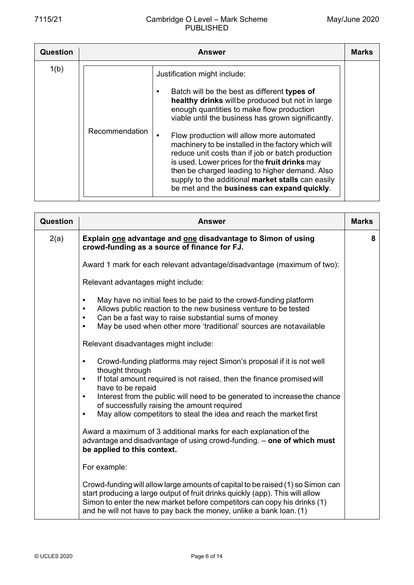| <b>Question</b> | <b>Answer</b>  |                                                                                                                                                                                                                                                                                                                                                                                                                                                                                                                                                                                                      |  |  |  |
|-----------------|----------------|------------------------------------------------------------------------------------------------------------------------------------------------------------------------------------------------------------------------------------------------------------------------------------------------------------------------------------------------------------------------------------------------------------------------------------------------------------------------------------------------------------------------------------------------------------------------------------------------------|--|--|--|
| 1(b)            | Recommendation | Justification might include:<br>Batch will be the best as different types of<br>healthy drinks will be produced but not in large<br>enough quantities to make flow production<br>viable until the business has grown significantly.<br>Flow production will allow more automated<br>machinery to be installed in the factory which will<br>reduce unit costs than if job or batch production<br>is used. Lower prices for the fruit drinks may<br>then be charged leading to higher demand. Also<br>supply to the additional market stalls can easily<br>be met and the business can expand quickly. |  |  |  |

| <b>Question</b> | <b>Answer</b>                                                                                                                                                                                                                                                                                                                                                                                                                                                                                                                                                                                                               | <b>Marks</b> |
|-----------------|-----------------------------------------------------------------------------------------------------------------------------------------------------------------------------------------------------------------------------------------------------------------------------------------------------------------------------------------------------------------------------------------------------------------------------------------------------------------------------------------------------------------------------------------------------------------------------------------------------------------------------|--------------|
| 2(a)            | Explain one advantage and one disadvantage to Simon of using<br>crowd-funding as a source of finance for FJ.                                                                                                                                                                                                                                                                                                                                                                                                                                                                                                                | 8            |
|                 | Award 1 mark for each relevant advantage/disadvantage (maximum of two):                                                                                                                                                                                                                                                                                                                                                                                                                                                                                                                                                     |              |
|                 | Relevant advantages might include:                                                                                                                                                                                                                                                                                                                                                                                                                                                                                                                                                                                          |              |
|                 | May have no initial fees to be paid to the crowd-funding platform<br>$\bullet$<br>Allows public reaction to the new business venture to be tested<br>Can be a fast way to raise substantial sums of money<br>$\bullet$<br>May be used when other more 'traditional' sources are notavailable<br>$\bullet$                                                                                                                                                                                                                                                                                                                   |              |
|                 | Relevant disadvantages might include:                                                                                                                                                                                                                                                                                                                                                                                                                                                                                                                                                                                       |              |
|                 | Crowd-funding platforms may reject Simon's proposal if it is not well<br>$\bullet$<br>thought through<br>If total amount required is not raised, then the finance promised will<br>$\bullet$<br>have to be repaid<br>Interest from the public will need to be generated to increase the chance<br>$\bullet$<br>of successfully raising the amount required<br>May allow competitors to steal the idea and reach the market first<br>$\bullet$<br>Award a maximum of 3 additional marks for each explanation of the<br>advantage and disadvantage of using crowd-funding. - one of which must<br>be applied to this context. |              |
|                 | For example:                                                                                                                                                                                                                                                                                                                                                                                                                                                                                                                                                                                                                |              |
|                 | Crowd-funding will allow large amounts of capital to be raised (1) so Simon can<br>start producing a large output of fruit drinks quickly (app). This will allow<br>Simon to enter the new market before competitors can copy his drinks (1)<br>and he will not have to pay back the money, unlike a bank loan. (1)                                                                                                                                                                                                                                                                                                         |              |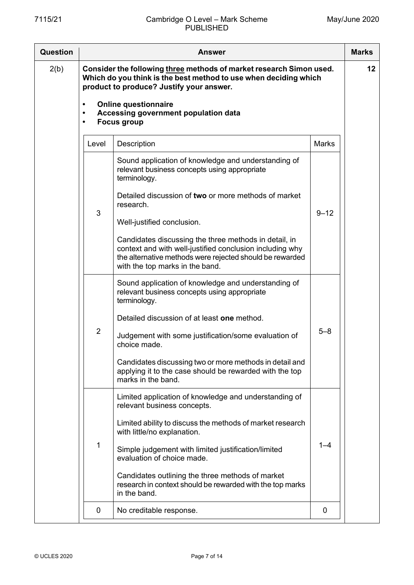| <b>Question</b> | <b>Answer</b>                       |                                                                                                                                                                                                                  |              |    |  |  |
|-----------------|-------------------------------------|------------------------------------------------------------------------------------------------------------------------------------------------------------------------------------------------------------------|--------------|----|--|--|
| 2(b)            |                                     | Consider the following three methods of market research Simon used.<br>Which do you think is the best method to use when deciding which<br>product to produce? Justify your answer.                              |              | 12 |  |  |
|                 | $\bullet$<br>$\bullet$<br>$\bullet$ | <b>Online questionnaire</b><br>Accessing government population data<br><b>Focus group</b>                                                                                                                        |              |    |  |  |
|                 | Level                               | Description                                                                                                                                                                                                      | <b>Marks</b> |    |  |  |
|                 |                                     | Sound application of knowledge and understanding of<br>relevant business concepts using appropriate<br>terminology.                                                                                              |              |    |  |  |
|                 | 3                                   | Detailed discussion of two or more methods of market<br>research.                                                                                                                                                | $9 - 12$     |    |  |  |
|                 |                                     | Well-justified conclusion.                                                                                                                                                                                       |              |    |  |  |
|                 |                                     | Candidates discussing the three methods in detail, in<br>context and with well-justified conclusion including why<br>the alternative methods were rejected should be rewarded<br>with the top marks in the band. |              |    |  |  |
|                 |                                     | Sound application of knowledge and understanding of<br>relevant business concepts using appropriate<br>terminology.                                                                                              |              |    |  |  |
|                 |                                     | Detailed discussion of at least one method.                                                                                                                                                                      |              |    |  |  |
|                 | $\overline{2}$                      | Judgement with some justification/some evaluation of<br>choice made.                                                                                                                                             | $5 - 8$      |    |  |  |
|                 |                                     | Candidates discussing two or more methods in detail and<br>applying it to the case should be rewarded with the top<br>marks in the band.                                                                         |              |    |  |  |
|                 |                                     | Limited application of knowledge and understanding of<br>relevant business concepts.                                                                                                                             |              |    |  |  |
|                 |                                     | Limited ability to discuss the methods of market research<br>with little/no explanation.                                                                                                                         |              |    |  |  |
|                 | 1                                   | Simple judgement with limited justification/limited<br>evaluation of choice made.                                                                                                                                | $1 - 4$      |    |  |  |
|                 |                                     | Candidates outlining the three methods of market<br>research in context should be rewarded with the top marks<br>in the band.                                                                                    |              |    |  |  |
|                 | 0                                   | No creditable response.                                                                                                                                                                                          | 0            |    |  |  |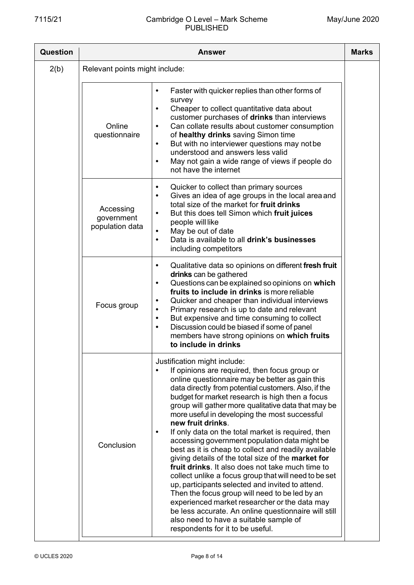| Question | <b>Marks</b><br><b>Answer</b>              |                                                                                                                                                                                                                                                                                                                                                                                                                                                                                                                                                                                                                                                                                                                                                                                                                                                                                                                                                                                                                      |  |  |  |
|----------|--------------------------------------------|----------------------------------------------------------------------------------------------------------------------------------------------------------------------------------------------------------------------------------------------------------------------------------------------------------------------------------------------------------------------------------------------------------------------------------------------------------------------------------------------------------------------------------------------------------------------------------------------------------------------------------------------------------------------------------------------------------------------------------------------------------------------------------------------------------------------------------------------------------------------------------------------------------------------------------------------------------------------------------------------------------------------|--|--|--|
| 2(b)     | Relevant points might include:             |                                                                                                                                                                                                                                                                                                                                                                                                                                                                                                                                                                                                                                                                                                                                                                                                                                                                                                                                                                                                                      |  |  |  |
|          | Online<br>questionnaire                    | Faster with quicker replies than other forms of<br>$\bullet$<br>survey<br>Cheaper to collect quantitative data about<br>$\bullet$<br>customer purchases of drinks than interviews<br>Can collate results about customer consumption<br>$\bullet$<br>of healthy drinks saving Simon time<br>But with no interviewer questions may not be<br>$\bullet$<br>understood and answers less valid<br>May not gain a wide range of views if people do<br>$\bullet$<br>not have the internet                                                                                                                                                                                                                                                                                                                                                                                                                                                                                                                                   |  |  |  |
|          | Accessing<br>government<br>population data | Quicker to collect than primary sources<br>٠<br>Gives an idea of age groups in the local area and<br>$\bullet$<br>total size of the market for fruit drinks<br>But this does tell Simon which fruit juices<br>$\bullet$<br>people will like<br>May be out of date<br>$\bullet$<br>Data is available to all drink's businesses<br>$\bullet$<br>including competitors                                                                                                                                                                                                                                                                                                                                                                                                                                                                                                                                                                                                                                                  |  |  |  |
|          | Focus group                                | Qualitative data so opinions on different fresh fruit<br>$\bullet$<br>drinks can be gathered<br>Questions can be explained so opinions on which<br>$\bullet$<br>fruits to include in drinks is more reliable<br>Quicker and cheaper than individual interviews<br>$\bullet$<br>Primary research is up to date and relevant<br>$\bullet$<br>But expensive and time consuming to collect<br>$\bullet$<br>Discussion could be biased if some of panel<br>$\bullet$<br>members have strong opinions on which fruits<br>to include in drinks                                                                                                                                                                                                                                                                                                                                                                                                                                                                              |  |  |  |
|          | Conclusion                                 | Justification might include:<br>If opinions are required, then focus group or<br>online questionnaire may be better as gain this<br>data directly from potential customers. Also, if the<br>budget for market research is high then a focus<br>group will gather more qualitative data that may be<br>more useful in developing the most successful<br>new fruit drinks.<br>If only data on the total market is required, then<br>$\bullet$<br>accessing government population data might be<br>best as it is cheap to collect and readily available<br>giving details of the total size of the market for<br>fruit drinks. It also does not take much time to<br>collect unlike a focus group that will need to be set<br>up, participants selected and invited to attend.<br>Then the focus group will need to be led by an<br>experienced market researcher or the data may<br>be less accurate. An online questionnaire will still<br>also need to have a suitable sample of<br>respondents for it to be useful. |  |  |  |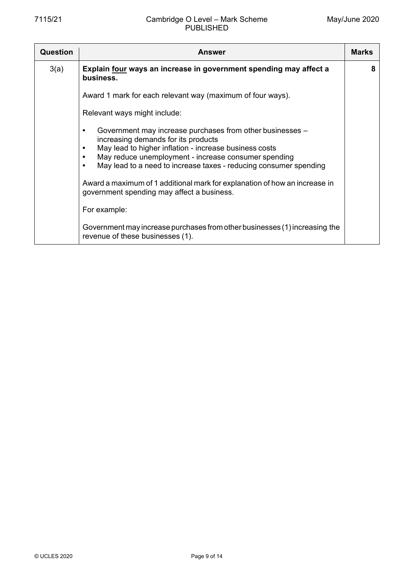| Question | Answer                                                                                                                                                                                                                                                                                       |   |  |  |  |
|----------|----------------------------------------------------------------------------------------------------------------------------------------------------------------------------------------------------------------------------------------------------------------------------------------------|---|--|--|--|
| 3(a)     | Explain four ways an increase in government spending may affect a<br>business.                                                                                                                                                                                                               | 8 |  |  |  |
|          | Award 1 mark for each relevant way (maximum of four ways).                                                                                                                                                                                                                                   |   |  |  |  |
|          | Relevant ways might include:                                                                                                                                                                                                                                                                 |   |  |  |  |
|          | Government may increase purchases from other businesses -<br>increasing demands for its products<br>May lead to higher inflation - increase business costs<br>May reduce unemployment - increase consumer spending<br>May lead to a need to increase taxes - reducing consumer spending<br>٠ |   |  |  |  |
|          | Award a maximum of 1 additional mark for explanation of how an increase in<br>government spending may affect a business.                                                                                                                                                                     |   |  |  |  |
|          | For example:                                                                                                                                                                                                                                                                                 |   |  |  |  |
|          | Government may increase purchases from other businesses (1) increasing the<br>revenue of these businesses (1).                                                                                                                                                                               |   |  |  |  |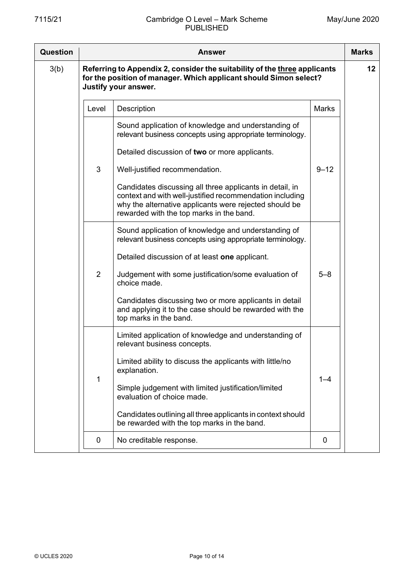| Question | Answer         |                                                                                                                                                                                                                                                                                                                                                                                           |              |    |  |  |
|----------|----------------|-------------------------------------------------------------------------------------------------------------------------------------------------------------------------------------------------------------------------------------------------------------------------------------------------------------------------------------------------------------------------------------------|--------------|----|--|--|
| 3(b)     |                | Referring to Appendix 2, consider the suitability of the three applicants<br>for the position of manager. Which applicant should Simon select?<br>Justify your answer.                                                                                                                                                                                                                    |              | 12 |  |  |
|          | Level          | Description                                                                                                                                                                                                                                                                                                                                                                               | <b>Marks</b> |    |  |  |
|          |                | Sound application of knowledge and understanding of<br>relevant business concepts using appropriate terminology.<br>Detailed discussion of two or more applicants.                                                                                                                                                                                                                        |              |    |  |  |
|          | 3              | Well-justified recommendation.<br>Candidates discussing all three applicants in detail, in<br>context and with well-justified recommendation including<br>why the alternative applicants were rejected should be<br>rewarded with the top marks in the band.                                                                                                                              | $9 - 12$     |    |  |  |
|          | $\overline{2}$ | Sound application of knowledge and understanding of<br>relevant business concepts using appropriate terminology.<br>Detailed discussion of at least one applicant.<br>Judgement with some justification/some evaluation of<br>choice made.<br>Candidates discussing two or more applicants in detail<br>and applying it to the case should be rewarded with the<br>top marks in the band. | $5 - 8$      |    |  |  |
|          | 1              | Limited application of knowledge and understanding of<br>relevant business concepts.<br>Limited ability to discuss the applicants with little/no<br>explanation.<br>Simple judgement with limited justification/limited<br>evaluation of choice made.<br>Candidates outlining all three applicants in context should<br>be rewarded with the top marks in the band.                       | $1 - 4$      |    |  |  |
|          | 0              | No creditable response.                                                                                                                                                                                                                                                                                                                                                                   | 0            |    |  |  |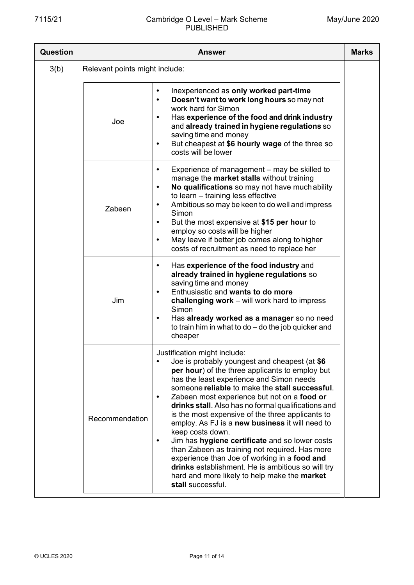## 7115/21 Cambridge O Level – Mark Scheme PUBLISHED

| Question |                                | <b>Answer</b>                                                                                                                                                                                                                                                                                                                                                                                                                                                                                                                                                                                                                                                                                                                                 |  |  |  |  |
|----------|--------------------------------|-----------------------------------------------------------------------------------------------------------------------------------------------------------------------------------------------------------------------------------------------------------------------------------------------------------------------------------------------------------------------------------------------------------------------------------------------------------------------------------------------------------------------------------------------------------------------------------------------------------------------------------------------------------------------------------------------------------------------------------------------|--|--|--|--|
| 3(b)     | Relevant points might include: |                                                                                                                                                                                                                                                                                                                                                                                                                                                                                                                                                                                                                                                                                                                                               |  |  |  |  |
|          | Joe                            | Inexperienced as only worked part-time<br>$\bullet$<br>Doesn't want to work long hours so may not<br>$\bullet$<br>work hard for Simon<br>Has experience of the food and drink industry<br>and already trained in hygiene regulations so<br>saving time and money<br>But cheapest at \$6 hourly wage of the three so<br>$\bullet$<br>costs will be lower                                                                                                                                                                                                                                                                                                                                                                                       |  |  |  |  |
|          | Zabeen                         | Experience of management – may be skilled to<br>$\bullet$<br>manage the market stalls without training<br>No qualifications so may not have much ability<br>$\bullet$<br>to learn - training less effective<br>Ambitious so may be keen to do well and impress<br>$\bullet$<br>Simon<br>But the most expensive at \$15 per hour to<br>٠<br>employ so costs will be higher<br>May leave if better job comes along to higher<br>$\bullet$<br>costs of recruitment as need to replace her                                                                                                                                                                                                                                                        |  |  |  |  |
|          | Jim                            | Has experience of the food industry and<br>$\bullet$<br>already trained in hygiene regulations so<br>saving time and money<br>Enthusiastic and wants to do more<br>challenging work - will work hard to impress<br>Simon<br>Has already worked as a manager so no need<br>$\bullet$<br>to train him in what to $do$ – do the job quicker and<br>cheaper                                                                                                                                                                                                                                                                                                                                                                                       |  |  |  |  |
|          | Recommendation                 | Justification might include:<br>Joe is probably youngest and cheapest (at \$6<br>per hour) of the three applicants to employ but<br>has the least experience and Simon needs<br>someone reliable to make the stall successful.<br>Zabeen most experience but not on a food or<br>drinks stall. Also has no formal qualifications and<br>is the most expensive of the three applicants to<br>employ. As FJ is a new business it will need to<br>keep costs down.<br>Jim has hygiene certificate and so lower costs<br>than Zabeen as training not required. Has more<br>experience than Joe of working in a food and<br>drinks establishment. He is ambitious so will try<br>hard and more likely to help make the market<br>stall successful. |  |  |  |  |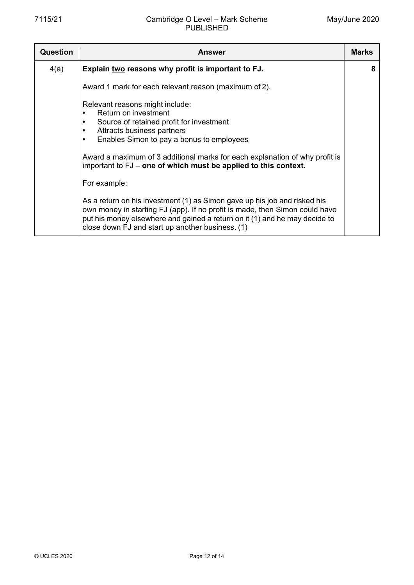| <b>Question</b> | <b>Answer</b>                                                                                                                                                                                                                                                                                                                              | <b>Marks</b> |
|-----------------|--------------------------------------------------------------------------------------------------------------------------------------------------------------------------------------------------------------------------------------------------------------------------------------------------------------------------------------------|--------------|
| 4(a)            | Explain two reasons why profit is important to FJ.                                                                                                                                                                                                                                                                                         | 8            |
|                 | Award 1 mark for each relevant reason (maximum of 2).                                                                                                                                                                                                                                                                                      |              |
|                 | Relevant reasons might include:<br>Return on investment<br>Source of retained profit for investment<br>Attracts business partners<br>٠<br>Enables Simon to pay a bonus to employees<br>٠<br>Award a maximum of 3 additional marks for each explanation of why profit is<br>important to FJ – one of which must be applied to this context. |              |
|                 | For example:                                                                                                                                                                                                                                                                                                                               |              |
|                 | As a return on his investment (1) as Simon gave up his job and risked his<br>own money in starting FJ (app). If no profit is made, then Simon could have<br>put his money elsewhere and gained a return on it (1) and he may decide to<br>close down FJ and start up another business. (1)                                                 |              |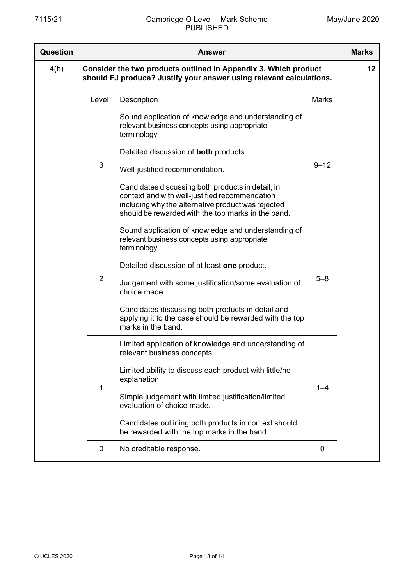| <b>Question</b> | <b>Answer</b> |                |                                                                                                                                                                                                                 |              |         |
|-----------------|---------------|----------------|-----------------------------------------------------------------------------------------------------------------------------------------------------------------------------------------------------------------|--------------|---------|
| 4(b)            |               |                | Consider the two products outlined in Appendix 3. Which product<br>should FJ produce? Justify your answer using relevant calculations.                                                                          |              | $12 \,$ |
|                 |               | Level          | Description                                                                                                                                                                                                     | <b>Marks</b> |         |
|                 |               |                | Sound application of knowledge and understanding of<br>relevant business concepts using appropriate<br>terminology.<br>Detailed discussion of both products.                                                    |              |         |
|                 |               | 3              | Well-justified recommendation.                                                                                                                                                                                  | $9 - 12$     |         |
|                 |               |                | Candidates discussing both products in detail, in<br>context and with well-justified recommendation<br>including why the alternative product was rejected<br>should be rewarded with the top marks in the band. |              |         |
|                 |               |                | Sound application of knowledge and understanding of<br>relevant business concepts using appropriate<br>terminology.                                                                                             |              |         |
|                 |               | $\overline{2}$ | Detailed discussion of at least one product.<br>Judgement with some justification/some evaluation of<br>choice made.                                                                                            | $5 - 8$      |         |
|                 |               |                | Candidates discussing both products in detail and<br>applying it to the case should be rewarded with the top<br>marks in the band.                                                                              |              |         |
|                 |               |                | Limited application of knowledge and understanding of<br>relevant business concepts.                                                                                                                            |              |         |
|                 |               |                | Limited ability to discuss each product with little/no<br>explanation.                                                                                                                                          |              |         |
|                 |               | 1              | Simple judgement with limited justification/limited<br>evaluation of choice made.                                                                                                                               | $1 - 4$      |         |
|                 |               |                | Candidates outlining both products in context should<br>be rewarded with the top marks in the band.                                                                                                             |              |         |
|                 |               | 0              | No creditable response.                                                                                                                                                                                         | 0            |         |